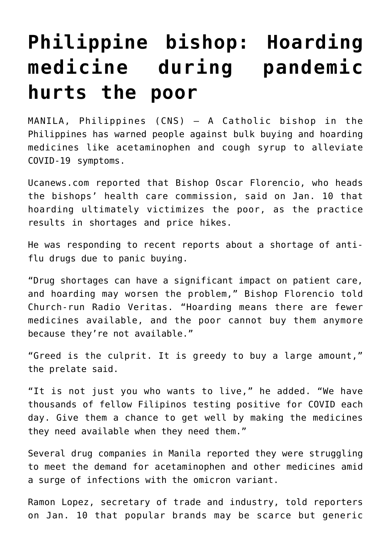## **[Philippine bishop: Hoarding](https://www.osvnews.com/amp/2022/01/11/philippine-bishop-hoarding-medicine-during-pandemic-hurts-the-poor/) [medicine during pandemic](https://www.osvnews.com/amp/2022/01/11/philippine-bishop-hoarding-medicine-during-pandemic-hurts-the-poor/) [hurts the poor](https://www.osvnews.com/amp/2022/01/11/philippine-bishop-hoarding-medicine-during-pandemic-hurts-the-poor/)**

MANILA, Philippines (CNS) — A Catholic bishop in the Philippines has warned people against bulk buying and hoarding medicines like acetaminophen and cough syrup to alleviate COVID-19 symptoms.

Ucanews.com reported that Bishop Oscar Florencio, who heads the bishops' health care commission, said on Jan. 10 that hoarding ultimately victimizes the poor, as the practice results in shortages and price hikes.

He was responding to recent reports about a shortage of antiflu drugs due to panic buying.

"Drug shortages can have a significant impact on patient care, and hoarding may worsen the problem," Bishop Florencio told Church-run Radio Veritas. "Hoarding means there are fewer medicines available, and the poor cannot buy them anymore because they're not available."

"Greed is the culprit. It is greedy to buy a large amount," the prelate said.

"It is not just you who wants to live," he added. "We have thousands of fellow Filipinos testing positive for COVID each day. Give them a chance to get well by making the medicines they need available when they need them."

Several drug companies in Manila reported they were struggling to meet the demand for acetaminophen and other medicines amid a surge of infections with the omicron variant.

Ramon Lopez, secretary of trade and industry, told reporters on Jan. 10 that popular brands may be scarce but generic